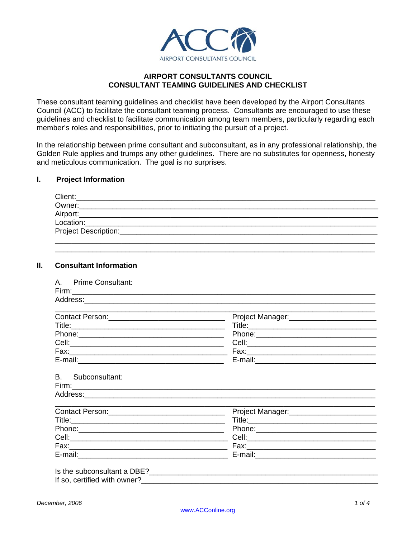

## **AIRPORT CONSULTANTS COUNCIL CONSULTANT TEAMING GUIDELINES AND CHECKLIST**

These consultant teaming guidelines and checklist have been developed by the Airport Consultants Council (ACC) to facilitate the consultant teaming process. Consultants are encouraged to use these guidelines and checklist to facilitate communication among team members, particularly regarding each member's roles and responsibilities, prior to initiating the pursuit of a project.

In the relationship between prime consultant and subconsultant, as in any professional relationship, the Golden Rule applies and trumps any other guidelines. There are no substitutes for openness, honesty and meticulous communication. The goal is no surprises.

## **I. Project Information**

| Owner:               |  |  |  |
|----------------------|--|--|--|
| Airport:             |  |  |  |
| Location:            |  |  |  |
| Project Description: |  |  |  |

\_\_\_\_\_\_\_\_\_\_\_\_\_\_\_\_\_\_\_\_\_\_\_\_\_\_\_\_\_\_\_\_\_\_\_\_\_\_\_\_\_\_\_\_\_\_\_\_\_\_\_\_\_\_\_\_\_\_\_\_\_\_\_\_\_\_\_\_\_\_\_\_\_\_\_\_\_

#### **II. Consultant Information**

|                   | Project Manager:<br><u> </u>                 |
|-------------------|----------------------------------------------|
|                   |                                              |
|                   |                                              |
|                   |                                              |
|                   |                                              |
|                   |                                              |
| B. Subconsultant: |                                              |
|                   |                                              |
|                   | Project Manager:____________________________ |
|                   |                                              |
|                   |                                              |
|                   |                                              |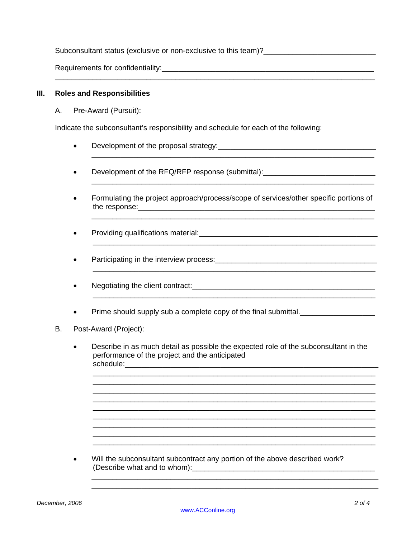Subconsultant status (exclusive or non-exclusive to this team)?

Requirements for confidentiality:  $\blacksquare$ 

### **III. Roles and Responsibilities**

A. Pre-Award (Pursuit):

Indicate the subconsultant's responsibility and schedule for each of the following:

\_\_\_\_\_\_\_\_\_\_\_\_\_\_\_\_\_\_\_\_\_\_\_\_\_\_\_\_\_\_\_\_\_\_\_\_\_\_\_\_\_\_\_\_\_\_\_\_\_\_\_\_\_\_\_\_\_\_\_\_\_\_\_\_\_\_\_\_\_\_\_\_\_\_\_\_\_

- Development of the proposal strategy:\_\_\_\_\_\_\_\_\_\_\_\_\_\_\_\_\_\_\_\_\_\_\_\_\_\_\_\_\_\_\_\_\_\_\_\_\_\_
- Development of the RFQ/RFP response (submittal): Development of the RFQ/RFP response (submittal):
- Formulating the project approach/process/scope of services/other specific portions of the response:

\_\_\_\_\_\_\_\_\_\_\_\_\_\_\_\_\_\_\_\_\_\_\_\_\_\_\_\_\_\_\_\_\_\_\_\_\_\_\_\_\_\_\_\_\_\_\_\_\_\_\_\_\_\_\_\_\_\_\_\_\_\_\_\_\_\_\_\_

\_\_\_\_\_\_\_\_\_\_\_\_\_\_\_\_\_\_\_\_\_\_\_\_\_\_\_\_\_\_\_\_\_\_\_\_\_\_\_\_\_\_\_\_\_\_\_\_\_\_\_\_\_\_\_\_\_\_\_\_\_\_\_\_\_\_\_\_

\_\_\_\_\_\_\_\_\_\_\_\_\_\_\_\_\_\_\_\_\_\_\_\_\_\_\_\_\_\_\_\_\_\_\_\_\_\_\_\_\_\_\_\_\_\_\_\_\_\_\_\_\_\_\_\_\_\_\_\_\_\_\_\_\_\_\_\_

 $\overline{\phantom{a}}$  , and the contribution of the contribution of the contribution of the contribution of the contribution of the contribution of the contribution of the contribution of the contribution of the contribution of the

 $\overline{\phantom{a}}$  , and the contribution of the contribution of the contribution of the contribution of the contribution of the contribution of the contribution of the contribution of the contribution of the contribution of the

- Providing qualifications material:
- Participating in the interview process:
- Negotiating the client contract:\_\_\_\_\_\_\_\_\_\_\_\_\_\_\_\_\_\_\_\_\_\_\_\_\_\_\_\_\_\_\_\_\_\_\_\_\_\_\_\_\_\_\_\_
- Prime should supply sub a complete copy of the final submittal.
- B. Post-Award (Project):
	- Describe in as much detail as possible the expected role of the subconsultant in the performance of the project and the anticipated schedule:

\_\_\_\_\_\_\_\_\_\_\_\_\_\_\_\_\_\_\_\_\_\_\_\_\_\_\_\_\_\_\_\_\_\_\_\_\_\_\_\_\_\_\_\_\_\_\_\_\_\_\_\_\_\_\_\_\_\_\_\_\_\_\_\_\_\_\_\_ \_\_\_\_\_\_\_\_\_\_\_\_\_\_\_\_\_\_\_\_\_\_\_\_\_\_\_\_\_\_\_\_\_\_\_\_\_\_\_\_\_\_\_\_\_\_\_\_\_\_\_\_\_\_\_\_\_\_\_\_\_\_\_\_\_\_\_\_ \_\_\_\_\_\_\_\_\_\_\_\_\_\_\_\_\_\_\_\_\_\_\_\_\_\_\_\_\_\_\_\_\_\_\_\_\_\_\_\_\_\_\_\_\_\_\_\_\_\_\_\_\_\_\_\_\_\_\_\_\_\_\_\_\_\_\_\_ \_\_\_\_\_\_\_\_\_\_\_\_\_\_\_\_\_\_\_\_\_\_\_\_\_\_\_\_\_\_\_\_\_\_\_\_\_\_\_\_\_\_\_\_\_\_\_\_\_\_\_\_\_\_\_\_\_\_\_\_\_\_\_\_\_\_\_\_ \_\_\_\_\_\_\_\_\_\_\_\_\_\_\_\_\_\_\_\_\_\_\_\_\_\_\_\_\_\_\_\_\_\_\_\_\_\_\_\_\_\_\_\_\_\_\_\_\_\_\_\_\_\_\_\_\_\_\_\_\_\_\_\_\_\_\_\_ \_\_\_\_\_\_\_\_\_\_\_\_\_\_\_\_\_\_\_\_\_\_\_\_\_\_\_\_\_\_\_\_\_\_\_\_\_\_\_\_\_\_\_\_\_\_\_\_\_\_\_\_\_\_\_\_\_\_\_\_\_\_\_\_\_\_\_\_ \_\_\_\_\_\_\_\_\_\_\_\_\_\_\_\_\_\_\_\_\_\_\_\_\_\_\_\_\_\_\_\_\_\_\_\_\_\_\_\_\_\_\_\_\_\_\_\_\_\_\_\_\_\_\_\_\_\_\_\_\_\_\_\_\_\_\_\_ \_\_\_\_\_\_\_\_\_\_\_\_\_\_\_\_\_\_\_\_\_\_\_\_\_\_\_\_\_\_\_\_\_\_\_\_\_\_\_\_\_\_\_\_\_\_\_\_\_\_\_\_\_\_\_\_\_\_\_\_\_\_\_\_\_\_\_\_ \_\_\_\_\_\_\_\_\_\_\_\_\_\_\_\_\_\_\_\_\_\_\_\_\_\_\_\_\_\_\_\_\_\_\_\_\_\_\_\_\_\_\_\_\_\_\_\_\_\_\_\_\_\_\_\_\_\_\_\_\_\_\_\_\_\_\_\_

• Will the subconsultant subcontract any portion of the above described work? (Describe what and to whom):\_\_\_\_\_\_\_\_\_\_\_\_\_\_\_\_\_\_\_\_\_\_\_\_\_\_\_\_\_\_\_\_\_\_\_\_\_\_\_\_\_\_\_\_

 \_\_\_\_\_\_\_\_\_\_\_\_\_\_\_\_\_\_\_\_\_\_\_\_\_\_\_\_\_\_\_\_\_\_\_\_\_\_\_\_\_\_\_\_\_\_\_\_\_\_\_\_\_\_\_\_\_\_\_\_\_\_\_\_\_\_\_\_\_ \_\_\_\_\_\_\_\_\_\_\_\_\_\_\_\_\_\_\_\_\_\_\_\_\_\_\_\_\_\_\_\_\_\_\_\_\_\_\_\_\_\_\_\_\_\_\_\_\_\_\_\_\_\_\_\_\_\_\_\_\_\_\_\_\_\_\_\_\_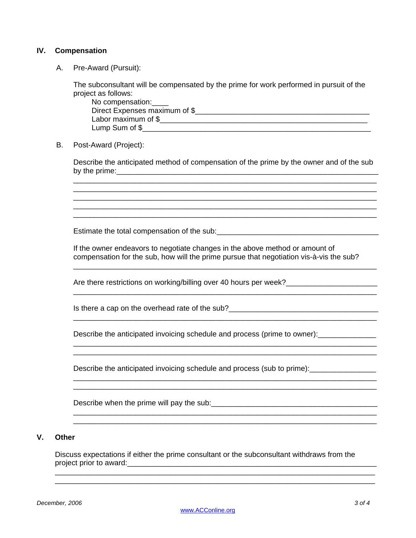### **IV. Compensation**

A. Pre-Award (Pursuit):

The subconsultant will be compensated by the prime for work performed in pursuit of the project as follows:

No compensation: Direct Expenses maximum of \$\_\_\_\_\_\_\_\_\_\_\_\_\_\_\_\_\_\_\_\_\_\_\_\_\_\_\_\_\_\_\_\_\_\_\_\_\_\_\_\_\_\_ Labor maximum of \$ Lump Sum of \$

B. Post-Award (Project):

Describe the anticipated method of compensation of the prime by the owner and of the sub by the prime:  $\Box$ \_\_\_\_\_\_\_\_\_\_\_\_\_\_\_\_\_\_\_\_\_\_\_\_\_\_\_\_\_\_\_\_\_\_\_\_\_\_\_\_\_\_\_\_\_\_\_\_\_\_\_\_\_\_\_\_\_\_\_\_\_\_\_\_\_\_\_\_\_\_\_\_\_

\_\_\_\_\_\_\_\_\_\_\_\_\_\_\_\_\_\_\_\_\_\_\_\_\_\_\_\_\_\_\_\_\_\_\_\_\_\_\_\_\_\_\_\_\_\_\_\_\_\_\_\_\_\_\_\_\_\_\_\_\_\_\_\_\_\_\_\_\_\_\_\_\_ \_\_\_\_\_\_\_\_\_\_\_\_\_\_\_\_\_\_\_\_\_\_\_\_\_\_\_\_\_\_\_\_\_\_\_\_\_\_\_\_\_\_\_\_\_\_\_\_\_\_\_\_\_\_\_\_\_\_\_\_\_\_\_\_\_\_\_\_\_\_\_\_\_ \_\_\_\_\_\_\_\_\_\_\_\_\_\_\_\_\_\_\_\_\_\_\_\_\_\_\_\_\_\_\_\_\_\_\_\_\_\_\_\_\_\_\_\_\_\_\_\_\_\_\_\_\_\_\_\_\_\_\_\_\_\_\_\_\_\_\_\_\_\_\_\_\_ \_\_\_\_\_\_\_\_\_\_\_\_\_\_\_\_\_\_\_\_\_\_\_\_\_\_\_\_\_\_\_\_\_\_\_\_\_\_\_\_\_\_\_\_\_\_\_\_\_\_\_\_\_\_\_\_\_\_\_\_\_\_\_\_\_\_\_\_\_\_\_\_\_

Estimate the total compensation of the sub:  $\blacksquare$ 

If the owner endeavors to negotiate changes in the above method or amount of compensation for the sub, how will the prime pursue that negotiation vis-à-vis the sub?

\_\_\_\_\_\_\_\_\_\_\_\_\_\_\_\_\_\_\_\_\_\_\_\_\_\_\_\_\_\_\_\_\_\_\_\_\_\_\_\_\_\_\_\_\_\_\_\_\_\_\_\_\_\_\_\_\_\_\_\_\_\_\_\_\_\_\_\_\_\_\_\_\_

\_\_\_\_\_\_\_\_\_\_\_\_\_\_\_\_\_\_\_\_\_\_\_\_\_\_\_\_\_\_\_\_\_\_\_\_\_\_\_\_\_\_\_\_\_\_\_\_\_\_\_\_\_\_\_\_\_\_\_\_\_\_\_\_\_\_\_\_\_\_\_\_\_

\_\_\_\_\_\_\_\_\_\_\_\_\_\_\_\_\_\_\_\_\_\_\_\_\_\_\_\_\_\_\_\_\_\_\_\_\_\_\_\_\_\_\_\_\_\_\_\_\_\_\_\_\_\_\_\_\_\_\_\_\_\_\_\_\_\_\_\_\_\_\_\_\_

\_\_\_\_\_\_\_\_\_\_\_\_\_\_\_\_\_\_\_\_\_\_\_\_\_\_\_\_\_\_\_\_\_\_\_\_\_\_\_\_\_\_\_\_\_\_\_\_\_\_\_\_\_\_\_\_\_\_\_\_\_\_\_\_\_\_\_\_\_\_\_\_\_ \_\_\_\_\_\_\_\_\_\_\_\_\_\_\_\_\_\_\_\_\_\_\_\_\_\_\_\_\_\_\_\_\_\_\_\_\_\_\_\_\_\_\_\_\_\_\_\_\_\_\_\_\_\_\_\_\_\_\_\_\_\_\_\_\_\_\_\_\_\_\_\_\_

\_\_\_\_\_\_\_\_\_\_\_\_\_\_\_\_\_\_\_\_\_\_\_\_\_\_\_\_\_\_\_\_\_\_\_\_\_\_\_\_\_\_\_\_\_\_\_\_\_\_\_\_\_\_\_\_\_\_\_\_\_\_\_\_\_\_\_\_\_\_\_\_\_

Are there restrictions on working/billing over 40 hours per week?\_\_\_\_\_\_\_\_\_\_\_\_\_\_\_

Is there a cap on the overhead rate of the sub?\_\_\_\_\_\_\_\_\_\_\_\_\_\_\_\_\_\_\_\_\_\_\_\_\_\_\_\_\_\_\_\_\_\_

Describe the anticipated invoicing schedule and process (prime to owner):

 $\mathcal{L}_\text{max} = \frac{1}{2} \sum_{i=1}^{n} \frac{1}{2} \sum_{i=1}^{n} \frac{1}{2} \sum_{i=1}^{n} \frac{1}{2} \sum_{i=1}^{n} \frac{1}{2} \sum_{i=1}^{n} \frac{1}{2} \sum_{i=1}^{n} \frac{1}{2} \sum_{i=1}^{n} \frac{1}{2} \sum_{i=1}^{n} \frac{1}{2} \sum_{i=1}^{n} \frac{1}{2} \sum_{i=1}^{n} \frac{1}{2} \sum_{i=1}^{n} \frac{1}{2} \sum_{i=1}^{n} \frac{1$ 

Describe the anticipated invoicing schedule and process (sub to prime):

Describe when the prime will pay the sub:

# **V. Other**

Discuss expectations if either the prime consultant or the subconsultant withdraws from the project prior to award:\_\_\_\_\_\_\_\_\_\_\_\_\_\_\_\_\_\_\_\_\_\_\_\_\_\_\_\_\_\_\_\_\_\_\_\_\_\_\_\_\_\_\_\_\_\_\_\_\_\_\_\_\_\_\_\_\_\_\_\_ \_\_\_\_\_\_\_\_\_\_\_\_\_\_\_\_\_\_\_\_\_\_\_\_\_\_\_\_\_\_\_\_\_\_\_\_\_\_\_\_\_\_\_\_\_\_\_\_\_\_\_\_\_\_\_\_\_\_\_\_\_\_\_\_\_\_\_\_\_\_\_\_\_\_\_\_\_

\_\_\_\_\_\_\_\_\_\_\_\_\_\_\_\_\_\_\_\_\_\_\_\_\_\_\_\_\_\_\_\_\_\_\_\_\_\_\_\_\_\_\_\_\_\_\_\_\_\_\_\_\_\_\_\_\_\_\_\_\_\_\_\_\_\_\_\_\_\_\_\_\_\_\_\_\_